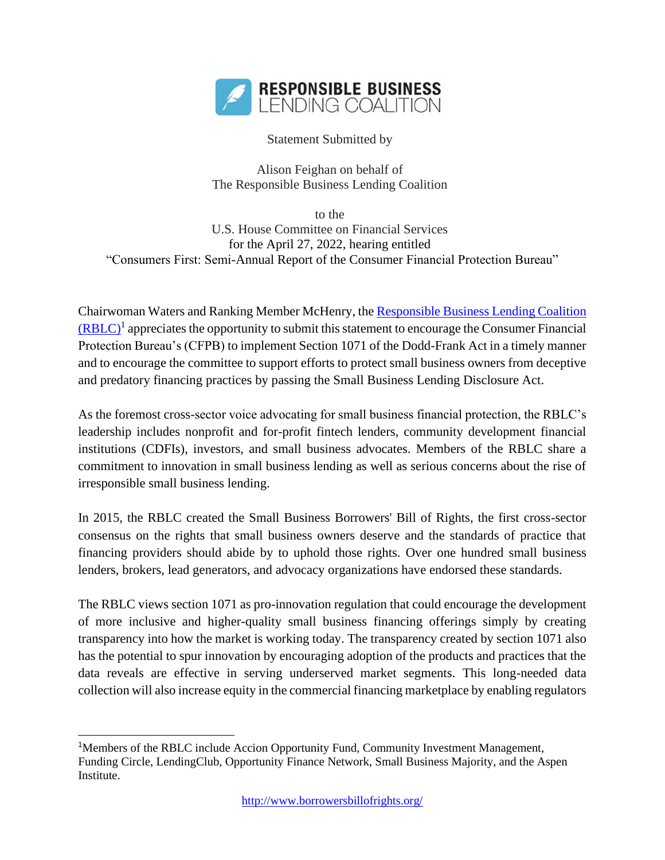

Statement Submitted by

Alison Feighan on behalf of The Responsible Business Lending Coalition

to the U.S. House Committee on Financial Services for the April 27, 2022, hearing entitled "Consumers First: Semi-Annual Report of the Consumer Financial Protection Bureau"

Chairwoman Waters and Ranking Member McHenry, the [Responsible Business Lending Coalition](http://www.borrowersbillofrights.org/rblc.html)   $(RBLC)^1$  $(RBLC)^1$  appreciates the opportunity to submit this statement to encourage the Consumer Financial Protection Bureau's (CFPB) to implement Section 1071 of the Dodd-Frank Act in a timely manner and to encourage the committee to support efforts to protect small business owners from deceptive and predatory financing practices by passing the Small Business Lending Disclosure Act.

As the foremost cross-sector voice advocating for small business financial protection, the RBLC's leadership includes nonprofit and for-profit fintech lenders, community development financial institutions (CDFIs), investors, and small business advocates. Members of the RBLC share a commitment to innovation in small business lending as well as serious concerns about the rise of irresponsible small business lending.

In 2015, the RBLC created the Small Business Borrowers' Bill of Rights, the first cross-sector consensus on the rights that small business owners deserve and the standards of practice that financing providers should abide by to uphold those rights. Over one hundred small business lenders, brokers, lead generators, and advocacy organizations have endorsed these standards.

The RBLC views section 1071 as pro-innovation regulation that could encourage the development of more inclusive and higher-quality small business financing offerings simply by creating transparency into how the market is working today. The transparency created by section 1071 also has the potential to spur innovation by encouraging adoption of the products and practices that the data reveals are effective in serving underserved market segments. This long-needed data collection will also increase equity in the commercial financing marketplace by enabling regulators

<sup>&</sup>lt;sup>1</sup>Members of the RBLC include Accion Opportunity Fund, Community Investment Management, Funding Circle, LendingClub, Opportunity Finance Network, Small Business Majority, and the Aspen Institute.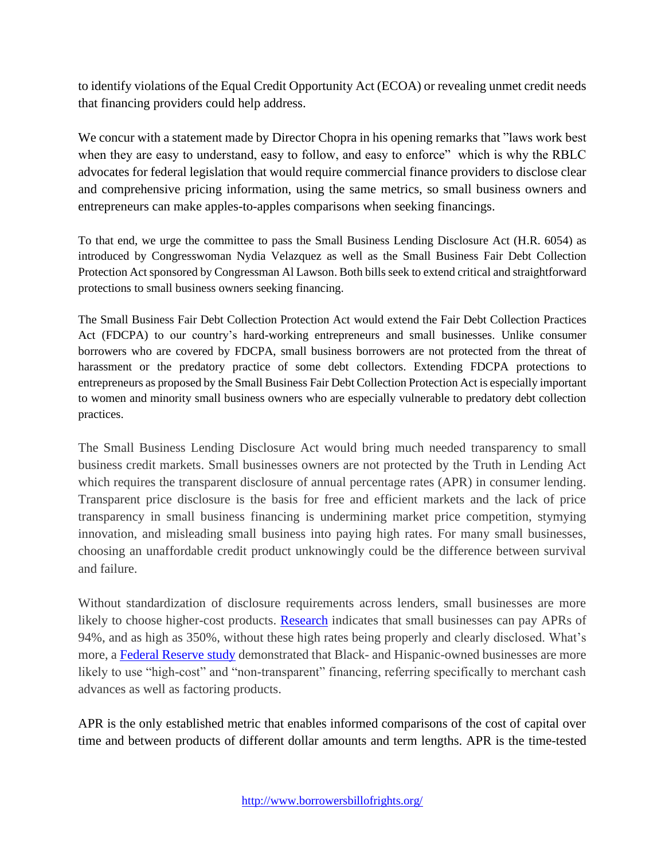to identify violations of the Equal Credit Opportunity Act (ECOA) or revealing unmet credit needs that financing providers could help address.

We concur with a statement made by Director Chopra in his opening remarks that "laws work best when they are easy to understand, easy to follow, and easy to enforce" which is why the RBLC advocates for federal legislation that would require commercial finance providers to disclose clear and comprehensive pricing information, using the same metrics, so small business owners and entrepreneurs can make apples-to-apples comparisons when seeking financings.

To that end, we urge the committee to pass the Small Business Lending Disclosure Act (H.R. 6054) as introduced by Congresswoman Nydia Velazquez as well as the Small Business Fair Debt Collection Protection Act sponsored by Congressman Al Lawson. Both bills seek to extend critical and straightforward protections to small business owners seeking financing.

The Small Business Fair Debt Collection Protection Act would extend the Fair Debt Collection Practices Act (FDCPA) to our country's hard-working entrepreneurs and small businesses. Unlike consumer borrowers who are covered by FDCPA, small business borrowers are not protected from the threat of harassment or the predatory practice of some debt collectors. Extending FDCPA protections to entrepreneurs as proposed by the Small Business Fair Debt Collection Protection Act is especially important to women and minority small business owners who are especially vulnerable to predatory debt collection practices.

The Small Business Lending Disclosure Act would bring much needed transparency to small business credit markets. Small businesses owners are not protected by the Truth in Lending Act which requires the transparent disclosure of annual percentage rates (APR) in consumer lending. Transparent price disclosure is the basis for free and efficient markets and the lack of price transparency in small business financing is undermining market price competition, stymying innovation, and misleading small business into paying high rates. For many small businesses, choosing an unaffordable credit product unknowingly could be the difference between survival and failure.

Without standardization of disclosure requirements across lenders, small businesses are more likely to choose higher-cost products. [Research](http://www.woodstockinst.org/wp-content/uploads/2016/07/Woodstock_Analysis_of_Online_SB_Loan_Terms.pdf) indicates that small businesses can pay APRs of 94%, and as high as 350%, without these high rates being properly and clearly disclosed. What's more, a [Federal Reserve study](https://www.fedsmallbusiness.org/medialibrary/fedsmallbusiness/files/2019/20191211-ced-minority-owned-firms-report.pdf) demonstrated that Black- and Hispanic-owned businesses are more likely to use "high-cost" and "non-transparent" financing, referring specifically to merchant cash advances as well as factoring products.

APR is the only established metric that enables informed comparisons of the cost of capital over time and between products of different dollar amounts and term lengths. APR is the time-tested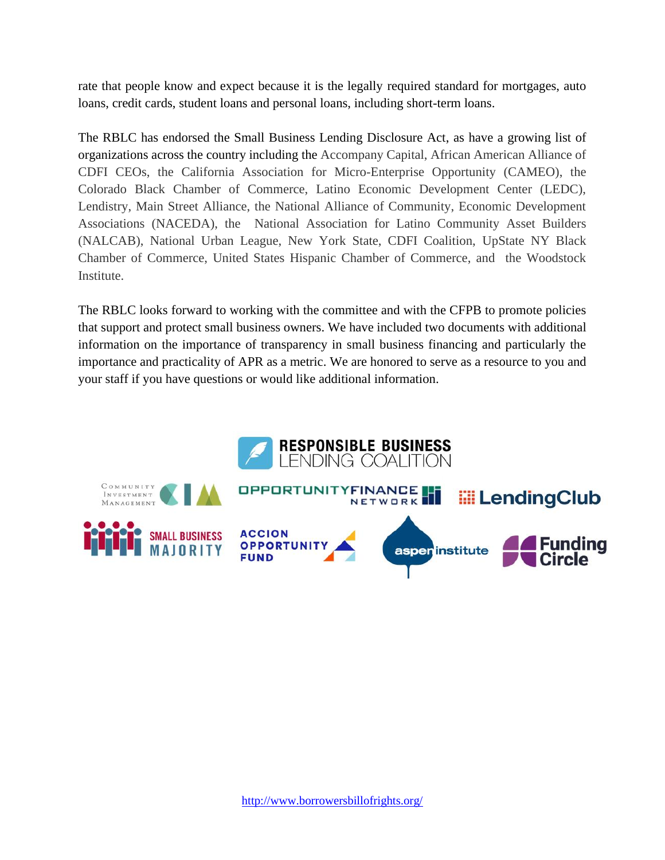rate that people know and expect because it is the legally required standard for mortgages, auto loans, credit cards, student loans and personal loans, including short-term loans.

The RBLC has endorsed the Small Business Lending Disclosure Act, as have a growing list of organizations across the country including the Accompany Capital, African American Alliance of CDFI CEOs, the California Association for Micro-Enterprise Opportunity (CAMEO), the Colorado Black Chamber of Commerce, Latino Economic Development Center (LEDC), Lendistry, Main Street Alliance, the National Alliance of Community, Economic Development Associations (NACEDA), the National Association for Latino Community Asset Builders (NALCAB), National Urban League, New York State, CDFI Coalition, UpState NY Black Chamber of Commerce, United States Hispanic Chamber of Commerce, and the Woodstock Institute.

The RBLC looks forward to working with the committee and with the CFPB to promote policies that support and protect small business owners. We have included two documents with additional information on the importance of transparency in small business financing and particularly the importance and practicality of APR as a metric. We are honored to serve as a resource to you and your staff if you have questions or would like additional information.

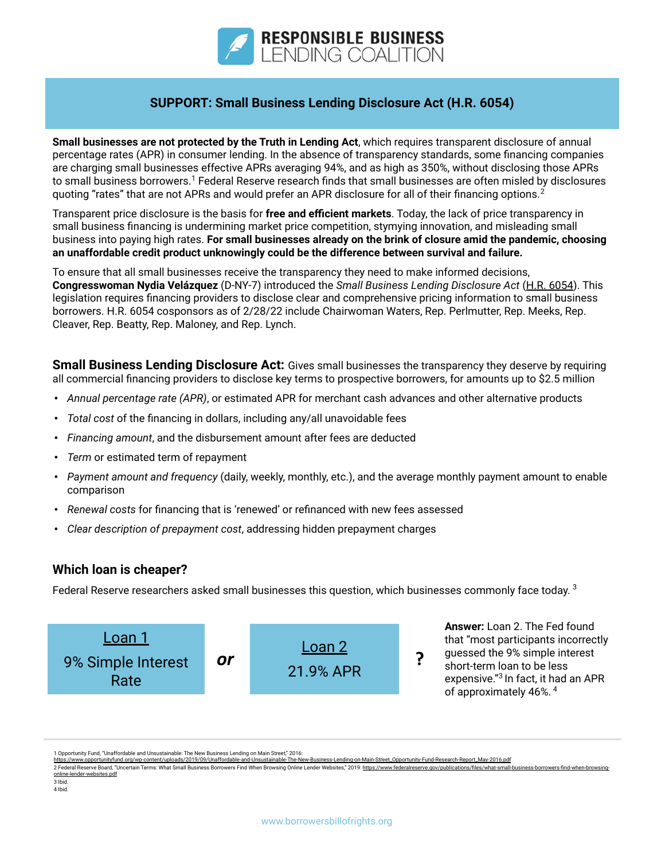

### **SUPPORT: Small Business Lending Disclosure Act (H.R. 6054)**

**Small businesses are not protected by the Truth in Lending Act**, which requires transparent disclosure of annual percentage rates (APR) in consumer lending. In the absence of transparency standards, some financing companies are charging small businesses effective APRs averaging 94%, and as high as 350%, without disclosing those APRs to small business borrowers.<sup>1</sup> Federal Reserve research finds that small businesses are often misled by disclosures quoting "rates" that are not APRs and would prefer an APR disclosure for all of their financing options.<sup>2</sup>

Transparent price disclosure is the basis for **free and efficient markets**. Today, the lack of price transparency in small business financing is undermining market price competition, stymying innovation, and misleading small business into paying high rates. **For small businesses already on the brink of closure amid the pandemic, choosing an unaffordable credit product unknowingly could be the difference between survival and failure.**

To ensure that all small businesses receive the transparency they need to make informed decisions, **Congresswoman Nydia Velázquez** (D-NY-7) introduced the *Small Business Lending Disclosure Act* ([H.R. 6054](https://www.congress.gov/bill/117th-congress/house-bill/6054/)). This legislation requires financing providers to disclose clear and comprehensive pricing information to small business borrowers. H.R. 6054 cosponsors as of 2/28/22 include Chairwoman Waters, Rep. Perlmutter, Rep. Meeks, Rep. Cleaver, Rep. Beatty, Rep. Maloney, and Rep. Lynch.

**Small Business Lending Disclosure Act:** Gives small businesses the transparency they deserve by requiring all commercial financing providers to disclose key terms to prospective borrowers, for amounts up to \$2.5 million

- *• Annual percentage rate (APR)*, or estimated APR for merchant cash advances and other alternative products
- *• Total cost* of the financing in dollars, including any/all unavoidable fees
- *• Financing amount*, and the disbursement amount after fees are deducted
- *• Term* or estimated term of repayment
- *• Payment amount and frequency* (daily, weekly, monthly, etc.), and the average monthly payment amount to enable comparison
- *• Renewal costs* for financing that is 'renewed' or refinanced with new fees assessed
- *• Clear description of prepayment cost*, addressing hidden prepayment charges

### **Which loan is cheaper?**

Federal Reserve researchers asked small businesses this question, which businesses commonly face today. 3



1 Opportunity Fund, "Unaffordable and Unsustainable: The New Business Lending on Main Street," 2016:

[https://www.opportunityfund.org/wp-content/uploads/2019/09/Unaffordable-and-Unsustainable-The-New-Business-Lending-on-Main-Street\\_Opportunity-Fund-Research-Report\\_May-2016.pdf](https://www.opportunityfund.org/wp-content/uploads/2019/09/Unaffordable-and-Unsustainable-The-New-Business-Lending-on-Main-Street_Opportunity-Fund-Research-Report_May-2016.pdf) 2 Federal Reserve Board, "Uncertain Terms: What Small Business Borrowers Find When Browsing Online Lender Websites," 2019: [https://www.federalreserve.gov/publications/files/what-small-business-borrowers-find-when-browsing-](https://www.federalreserve.gov/publications/files/what-small-business-borrowers-find-when-browsing-%20online-lender-websites.pdf)

online-lender-we 3 Ibid.

4 Ibid.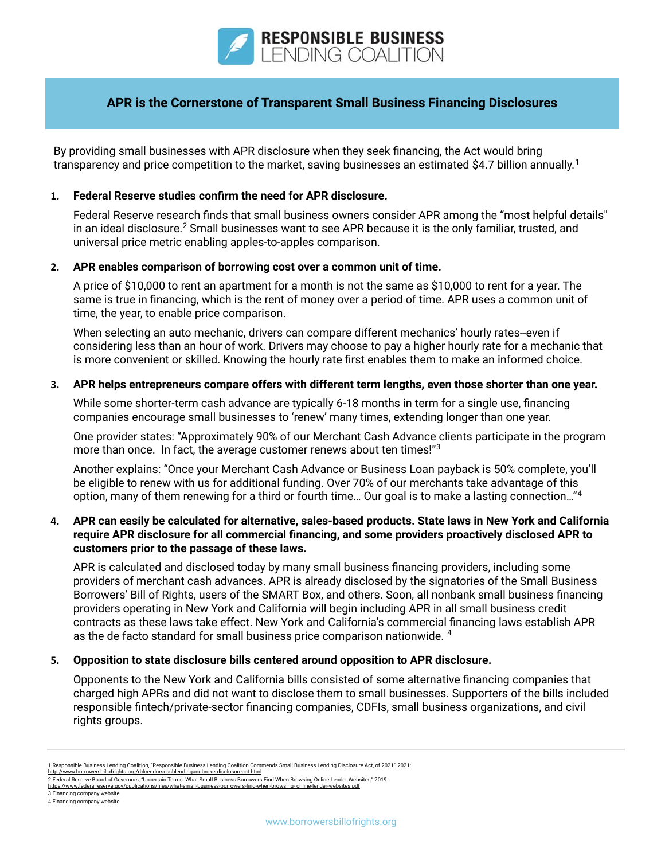

### **APR is the Cornerstone of Transparent Small Business Financing Disclosures**

By providing small businesses with APR disclosure when they seek financing, the Act would bring transparency and price competition to the market, saving businesses an estimated \$4.7 billion annually.<sup>1</sup>

### **1. Federal Reserve studies confirm the need for APR disclosure.**

Federal Reserve research finds that small business owners consider APR among the "most helpful details" in an ideal disclosure. $^2$  Small businesses want to see APR because it is the only familiar, trusted, and universal price metric enabling apples-to-apples comparison.

### **2. APR enables comparison of borrowing cost over a common unit of time.**

A price of \$10,000 to rent an apartment for a month is not the same as \$10,000 to rent for a year. The same is true in financing, which is the rent of money over a period of time. APR uses a common unit of time, the year, to enable price comparison.

When selecting an auto mechanic, drivers can compare different mechanics' hourly rates--even if considering less than an hour of work. Drivers may choose to pay a higher hourly rate for a mechanic that is more convenient or skilled. Knowing the hourly rate first enables them to make an informed choice.

### **3. APR helps entrepreneurs compare offers with different term lengths, even those shorter than one year.**

While some shorter-term cash advance are typically 6-18 months in term for a single use, financing companies encourage small businesses to 'renew' many times, extending longer than one year.

One provider states: "Approximately 90% of our Merchant Cash Advance clients participate in the program more than once. In fact, the average customer renews about ten times!"<sup>3</sup>

Another explains: "Once your Merchant Cash Advance or Business Loan payback is 50% complete, you'll be eligible to renew with us for additional funding. Over 70% of our merchants take advantage of this option, many of them renewing for a third or fourth time… Our goal is to make a lasting connection…"<sup>4</sup>

### **4. APR can easily be calculated for alternative, sales-based products. State laws in New York and California require APR disclosure for all commercial financing, and some providers proactively disclosed APR to customers prior to the passage of these laws.**

APR is calculated and disclosed today by many small business financing providers, including some providers of merchant cash advances. APR is already disclosed by the signatories of the Small Business Borrowers' Bill of Rights, users of the SMART Box, and others. Soon, all nonbank small business financing providers operating in New York and California will begin including APR in all small business credit contracts as these laws take effect. New York and California's commercial financing laws establish APR as the de facto standard for small business price comparison nationwide. 4

### **5. Opposition to state disclosure bills centered around opposition to APR disclosure.**

Opponents to the New York and California bills consisted of some alternative financing companies that charged high APRs and did not want to disclose them to small businesses. Supporters of the bills included responsible fintech/private-sector financing companies, CDFIs, small business organizations, and civil rights groups.

- 3 Financing company website
- 4 Financing company website

<sup>1</sup> Responsible Business Lending Coalition, "Responsible Business Lending Coalition Commends Small Business Lending Disclosure Act, of 2021," 2021:

<http://www.borrowersbillofrights.org/rblcendorsessblendingandbrokerdisclosureact.html> 2 Federal Reserve Board of Governors, "Uncertain Terms: What Small Business Borrowers Find When Browsing Online Lender Websites," 2019:

[https://www.federalreserve.gov/publications/files/what-small-business-borrowers-find-when-browsing- online-lender-websites.pdf](https://www.federalreserve.gov/publications/files/what-small-business-borrowers-find-when-browsing-%20online-lender-websites.pdf)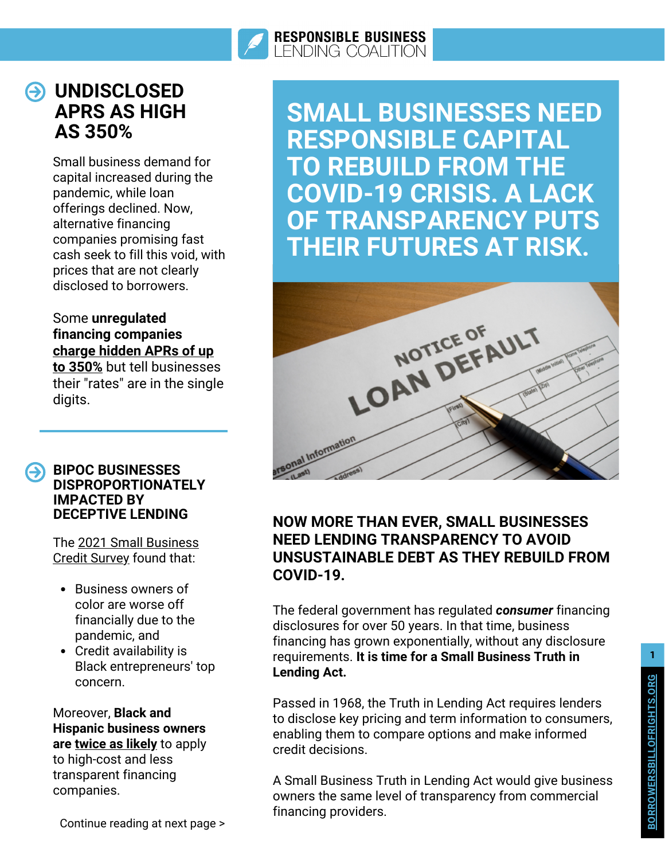

## **UNDISCLOSED APRS AS HIGH AS 350%**

Small business demand for capital increased during the pandemic, while loan offerings declined. Now, alternative financing companies promising fast cash seek to fill this void, with prices that are not clearly disclosed to borrowers.

## Some **unregulated financing companies charge hidden APRs of up**

**to 350%** but tell [businesses](https://s3.us-east-2.amazonaws.com/aofund.org/app/uploads/2021/03/26225158/Unaffordable-and-Unsustainable-The-New-Business-Lending-on-Main-Street_Opportunity-Fund-Research-Report_May-2016.pdf) their "rates" are in the single digits.

### **BIPOC BUSINESSES DISPROPORTIONATELY IMPACTED BY DECEPTIVE LENDING**

[The 2021 Small Business](https://www.fedsmallbusiness.org/survey/2021/report-on-employer-firms) Credit Survey found that:

- Business owners of color are worse off financially due to the pandemic, and
- Credit availability is Black entrepreneurs' top concern.

Moreover, **Black and Hispanic business owners are [twice as likely](https://www.fedsmallbusiness.org/survey/2019/report-on-minority-owned-firms)** to apply to high-cost and less transparent financing companies.

Continue reading at next page > **<sup>B</sup>**

**SMALL BUSINESSES NEED RESPONSIBLE CAPITAL TO REBUILD FROM THE COVID-19 CRISIS. A LACK OF TRANSPARENCY PUTS THEIR FUTURES AT RISK.**



## **NOW MORE THAN EVER, SMALL BUSINESSES NEED LENDING TRANSPARENCY TO AVOID UNSUSTAINABLE DEBT AS THEY REBUILD FROM COVID-19.**

The federal government has regulated *consumer* financing disclosures for over 50 years. In that time, business financing has grown exponentially, without any disclosure requirements. **It is time for a Small Business Truth in Lending Act.**

Passed in 1968, the Truth in Lending Act requires lenders to disclose key pricing and term information to consumers, enabling them to compare options and make informed credit decisions.

A Small Business Truth in Lending Act would give business owners the same level of transparency from commercial financing providers.